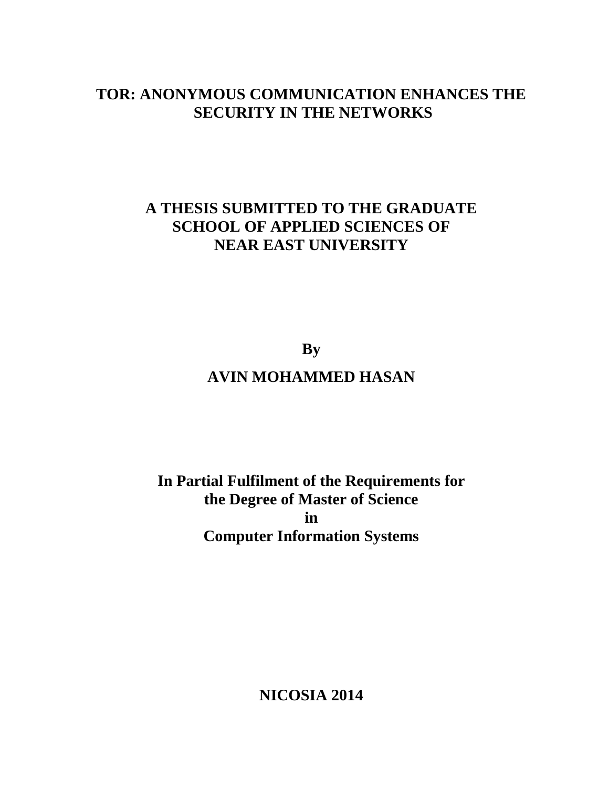## **TOR: ANONYMOUS COMMUNICATION ENHANCES THE SECURITY IN THE NETWORKS**

## **A THESIS SUBMITTED TO THE GRADUATE SCHOOL OF APPLIED SCIENCES OF NEAR EAST UNIVERSITY**

**By AVIN MOHAMMED HASAN**

**In Partial Fulfilment of the Requirements for the Degree of Master of Science in Computer Information Systems**

**NICOSIA 2014**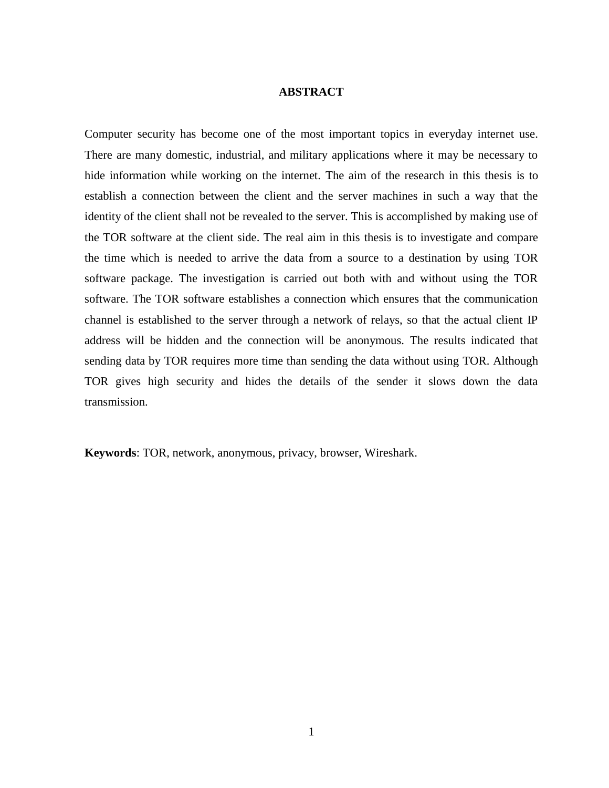## **ABSTRACT**

Computer security has become one of the most important topics in everyday internet use. There are many domestic, industrial, and military applications where it may be necessary to hide information while working on the internet. The aim of the research in this thesis is to establish a connection between the client and the server machines in such a way that the identity of the client shall not be revealed to the server. This is accomplished by making use of the TOR software at the client side. The real aim in this thesis is to investigate and compare the time which is needed to arrive the data from a source to a destination by using TOR software package. The investigation is carried out both with and without using the TOR software. The TOR software establishes a connection which ensures that the communication channel is established to the server through a network of relays, so that the actual client IP address will be hidden and the connection will be anonymous. The results indicated that sending data by TOR requires more time than sending the data without using TOR. Although TOR gives high security and hides the details of the sender it slows down the data transmission.

**Keywords**: TOR, network, anonymous, privacy, browser, Wireshark.